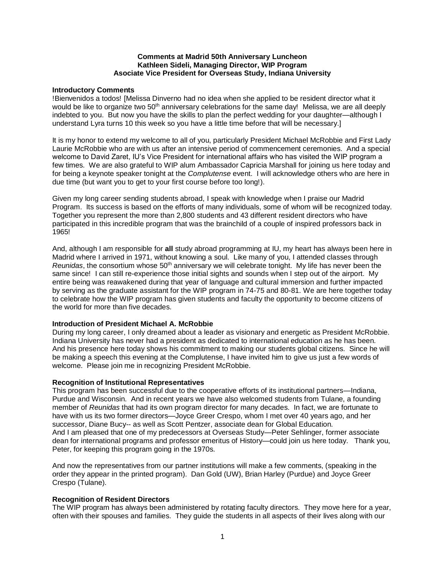### **Comments at Madrid 50th Anniversary Luncheon Kathleen Sideli, Managing Director, WIP Program Asociate Vice President for Overseas Study, Indiana University**

### **Introductory Comments**

!Bienvenidos a todos! [Melissa Dinverno had no idea when she applied to be resident director what it would be like to organize two 50<sup>th</sup> anniversary celebrations for the same day! Melissa, we are all deeply indebted to you. But now you have the skills to plan the perfect wedding for your daughter—although I understand Lyra turns 10 this week so you have a little time before that will be necessary.]

It is my honor to extend my welcome to all of you, particularly President Michael McRobbie and First Lady Laurie McRobbie who are with us after an intensive period of commencement ceremonies. And a special welcome to David Zaret, IU's Vice President for international affairs who has visited the WIP program a few times. We are also grateful to WIP alum Ambassador Capricia Marshall for joining us here today and for being a keynote speaker tonight at the *Complutense* event. I will acknowledge others who are here in due time (but want you to get to your first course before too long!).

Given my long career sending students abroad, I speak with knowledge when I praise our Madrid Program. Its success is based on the efforts of many individuals, some of whom will be recognized today. Together you represent the more than 2,800 students and 43 different resident directors who have participated in this incredible program that was the brainchild of a couple of inspired professors back in 1965!

And, although I am responsible for **all** study abroad programming at IU, my heart has always been here in Madrid where I arrived in 1971, without knowing a soul. Like many of you, I attended classes through *Reunidas*, the consortium whose 50th anniversary we will celebrate tonight. My life has never been the same since! I can still re-experience those initial sights and sounds when I step out of the airport. My entire being was reawakened during that year of language and cultural immersion and further impacted by serving as the graduate assistant for the WIP program in 74-75 and 80-81. We are here together today to celebrate how the WIP program has given students and faculty the opportunity to become citizens of the world for more than five decades.

# **Introduction of President Michael A. McRobbie**

During my long career, I only dreamed about a leader as visionary and energetic as President McRobbie. Indiana University has never had a president as dedicated to international education as he has been. And his presence here today shows his commitment to making our students global citizens. Since he will be making a speech this evening at the Complutense, I have invited him to give us just a few words of welcome. Please join me in recognizing President McRobbie.

#### **Recognition of Institutional Representatives**

This program has been successful due to the cooperative efforts of its institutional partners—Indiana, Purdue and Wisconsin. And in recent years we have also welcomed students from Tulane, a founding member of *Reunidas* that had its own program director for many decades. In fact, we are fortunate to have with us its two former directors—Joyce Greer Crespo, whom I met over 40 years ago, and her successor, Diane Bucy-- as well as Scott Pentzer, associate dean for Global Education. And I am pleased that one of my predecessors at Overseas Study—Peter Sehlinger, former associate dean for international programs and professor emeritus of History—could join us here today. Thank you, Peter, for keeping this program going in the 1970s.

And now the representatives from our partner institutions will make a few comments, (speaking in the order they appear in the printed program). Dan Gold (UW), Brian Harley (Purdue) and Joyce Greer Crespo (Tulane).

# **Recognition of Resident Directors**

The WIP program has always been administered by rotating faculty directors. They move here for a year, often with their spouses and families. They guide the students in all aspects of their lives along with our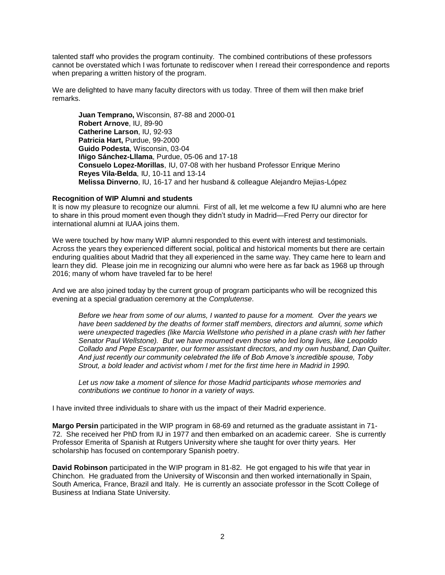talented staff who provides the program continuity. The combined contributions of these professors cannot be overstated which I was fortunate to rediscover when I reread their correspondence and reports when preparing a written history of the program.

We are delighted to have many faculty directors with us today. Three of them will then make brief remarks.

**Juan Temprano,** Wisconsin, 87-88 and 2000-01 **Robert Arnove**, IU, 89-90 **Catherine Larson**, IU, 92-93 **Patricia Hart,** Purdue, 99-2000 **Guido Podesta**, Wisconsin, 03-04 **Iñigo Sánchez-Lllama**, Purdue, 05-06 and 17-18 **Consuelo Lopez-Morillas**, IU, 07-08 with her husband Professor Enrique Merino **Reyes Vila-Belda**, IU, 10-11 and 13-14 **Melissa Dinverno**, IU, 16-17 and her husband & colleague Alejandro Mejias-López

### **Recognition of WIP Alumni and students**

It is now my pleasure to recognize our alumni. First of all, let me welcome a few IU alumni who are here to share in this proud moment even though they didn't study in Madrid—Fred Perry our director for international alumni at IUAA joins them.

We were touched by how many WIP alumni responded to this event with interest and testimonials. Across the years they experienced different social, political and historical moments but there are certain enduring qualities about Madrid that they all experienced in the same way. They came here to learn and learn they did. Please join me in recognizing our alumni who were here as far back as 1968 up through 2016; many of whom have traveled far to be here!

And we are also joined today by the current group of program participants who will be recognized this evening at a special graduation ceremony at the *Complutense*.

*Before we hear from some of our alums, I wanted to pause for a moment. Over the years we have been saddened by the deaths of former staff members, directors and alumni, some which were unexpected tragedies (like Marcia Wellstone who perished in a plane crash with her father Senator Paul Wellstone). But we have mourned even those who led long lives, like Leopoldo Collado and Pepe Escarpanter, our former assistant directors, and my own husband, Dan Quilter. And just recently our community celebrated the life of Bob Arnove's incredible spouse, Toby Strout, a bold leader and activist whom I met for the first time here in Madrid in 1990.*

Let us now take a moment of silence for those Madrid participants whose memories and *contributions we continue to honor in a variety of ways.*

I have invited three individuals to share with us the impact of their Madrid experience.

**Margo Persin** participated in the WIP program in 68-69 and returned as the graduate assistant in 71- 72. She received her PhD from IU in 1977 and then embarked on an academic career. She is currently Professor Emerita of Spanish at Rutgers University where she taught for over thirty years. Her scholarship has focused on contemporary Spanish poetry.

**David Robinson** participated in the WIP program in 81-82. He got engaged to his wife that year in Chinchon. He graduated from the University of Wisconsin and then worked internationally in Spain, South America, France, Brazil and Italy. He is currently an associate professor in the Scott College of Business at Indiana State University.